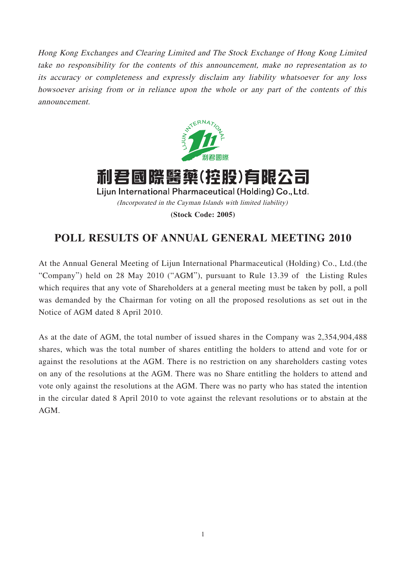Hong Kong Exchanges and Clearing Limited and The Stock Exchange of Hong Kong Limited take no responsibility for the contents of this announcement, make no representation as to its accuracy or completeness and expressly disclaim any liability whatsoever for any loss howsoever arising from or in reliance upon the whole or any part of the contents of this announcement.



利君國際醫藥(控股)有限公司 Lijun International Pharmaceutical (Holding) Co., Ltd. (Incorporated in the Cayman Islands with limited liability) **(Stock Code: 2005)**

## **POLL RESULTS OF ANNUAL GENERAL MEETING 2010**

At the Annual General Meeting of Lijun International Pharmaceutical (Holding) Co., Ltd.(the "Company") held on 28 May 2010 ("AGM"), pursuant to Rule 13.39 of the Listing Rules which requires that any vote of Shareholders at a general meeting must be taken by poll, a poll was demanded by the Chairman for voting on all the proposed resolutions as set out in the Notice of AGM dated 8 April 2010.

As at the date of AGM, the total number of issued shares in the Company was 2,354,904,488 shares, which was the total number of shares entitling the holders to attend and vote for or against the resolutions at the AGM. There is no restriction on any shareholders casting votes on any of the resolutions at the AGM. There was no Share entitling the holders to attend and vote only against the resolutions at the AGM. There was no party who has stated the intention in the circular dated 8 April 2010 to vote against the relevant resolutions or to abstain at the AGM.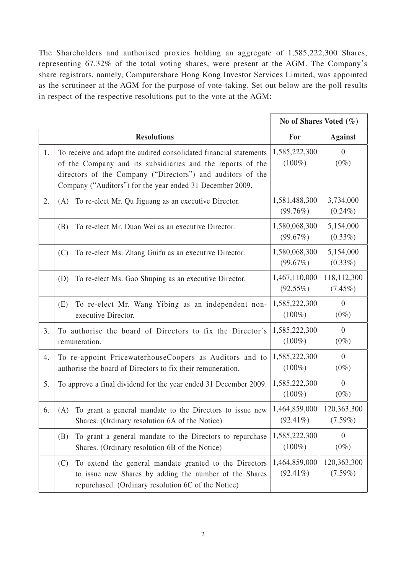The Shareholders and authorised proxies holding an aggregate of 1,585,222,300 Shares, representing 67.32% of the total voting shares, were present at the AGM. The Company's share registrars, namely, Computershare Hong Kong Investor Services Limited, was appointed as the scrutineer at the AGM for the purpose of vote-taking. Set out below are the poll results in respect of the respective resolutions put to the vote at the AGM:

|    |                                                                                                                                                                                                                                                             | No of Shares Voted $(\% )$   |                           |
|----|-------------------------------------------------------------------------------------------------------------------------------------------------------------------------------------------------------------------------------------------------------------|------------------------------|---------------------------|
|    | <b>Resolutions</b>                                                                                                                                                                                                                                          | For                          | <b>Against</b>            |
| 1. | To receive and adopt the audited consolidated financial statements<br>of the Company and its subsidiaries and the reports of the<br>directors of the Company ("Directors") and auditors of the<br>Company ("Auditors") for the year ended 31 December 2009. | 1,585,222,300<br>$(100\%)$   | $\overline{0}$<br>$(0\%)$ |
| 2. | To re-elect Mr. Qu Jiguang as an executive Director.<br>(A)                                                                                                                                                                                                 | 1,581,488,300<br>(99.76%)    | 3,734,000<br>$(0.24\%)$   |
|    | To re-elect Mr. Duan Wei as an executive Director.<br>(B)                                                                                                                                                                                                   | 1,580,068,300<br>(99.67%)    | 5,154,000<br>$(0.33\%)$   |
|    | (C)<br>To re-elect Ms. Zhang Guifu as an executive Director.                                                                                                                                                                                                | 1,580,068,300<br>(99.67%)    | 5,154,000<br>$(0.33\%)$   |
|    | To re-elect Ms. Gao Shuping as an executive Director.<br>(D)                                                                                                                                                                                                | 1,467,110,000<br>$(92.55\%)$ | 118,112,300<br>$(7.45\%)$ |
|    | To re-elect Mr. Wang Yibing as an independent non-<br>(E)<br>executive Director.                                                                                                                                                                            | 1,585,222,300<br>$(100\%)$   | $\theta$<br>$(0\%)$       |
| 3. | To authorise the board of Directors to fix the Director's<br>remuneration.                                                                                                                                                                                  | 1,585,222,300<br>$(100\%)$   | $\theta$<br>$(0\%)$       |
| 4. | To re-appoint PricewaterhouseCoopers as Auditors and to<br>authorise the board of Directors to fix their remuneration.                                                                                                                                      | 1,585,222,300<br>$(100\%)$   | $\overline{0}$<br>$(0\%)$ |
| 5. | To approve a final dividend for the year ended 31 December 2009.                                                                                                                                                                                            | 1,585,222,300<br>$(100\%)$   | $\overline{0}$<br>$(0\%)$ |
| 6. | To grant a general mandate to the Directors to issue new<br>(A)<br>Shares. (Ordinary resolution 6A of the Notice)                                                                                                                                           | 1,464,859,000<br>$(92.41\%)$ | 120,363,300<br>$(7.59\%)$ |
|    | To grant a general mandate to the Directors to repurchase<br>(B)<br>Shares. (Ordinary resolution 6B of the Notice)                                                                                                                                          | 1,585,222,300<br>$(100\%)$   | $\overline{0}$<br>$(0\%)$ |
|    | To extend the general mandate granted to the Directors<br>(C)<br>to issue new Shares by adding the number of the Shares<br>repurchased. (Ordinary resolution 6C of the Notice)                                                                              | 1,464,859,000<br>$(92.41\%)$ | 120,363,300<br>$(7.59\%)$ |